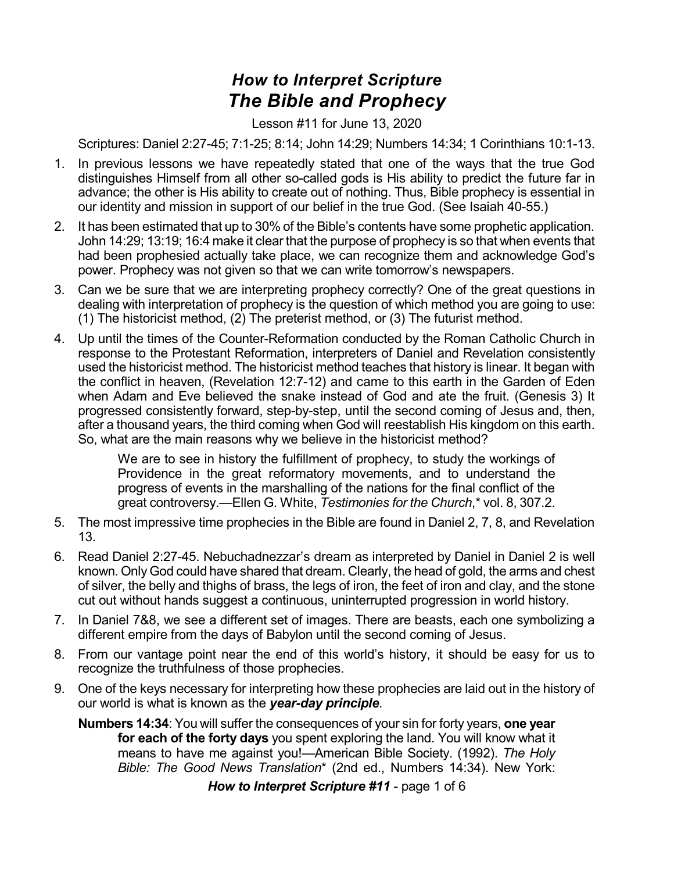## *How to Interpret Scripture The Bible and Prophecy*

Lesson #11 for June 13, 2020

Scriptures: Daniel 2:27-45; 7:1-25; 8:14; John 14:29; Numbers 14:34; 1 Corinthians 10:1-13.

- 1. In previous lessons we have repeatedly stated that one of the ways that the true God distinguishes Himself from all other so-called gods is His ability to predict the future far in advance; the other is His ability to create out of nothing. Thus, Bible prophecy is essential in our identity and mission in support of our belief in the true God. (See Isaiah 40-55.)
- 2. It has been estimated that up to 30% of the Bible's contents have some prophetic application. John 14:29; 13:19; 16:4 make it clear that the purpose of prophecy is so that when events that had been prophesied actually take place, we can recognize them and acknowledge God's power. Prophecy was not given so that we can write tomorrow's newspapers.
- 3. Can we be sure that we are interpreting prophecy correctly? One of the great questions in dealing with interpretation of prophecy is the question of which method you are going to use: (1) The historicist method, (2) The preterist method, or (3) The futurist method.
- 4. Up until the times of the Counter-Reformation conducted by the Roman Catholic Church in response to the Protestant Reformation, interpreters of Daniel and Revelation consistently used the historicist method. The historicist method teaches that history is linear. It began with the conflict in heaven, (Revelation 12:7-12) and came to this earth in the Garden of Eden when Adam and Eve believed the snake instead of God and ate the fruit. (Genesis 3) It progressed consistently forward, step-by-step, until the second coming of Jesus and, then, after a thousand years, the third coming when God will reestablish His kingdom on this earth. So, what are the main reasons why we believe in the historicist method?

We are to see in history the fulfillment of prophecy, to study the workings of Providence in the great reformatory movements, and to understand the progress of events in the marshalling of the nations for the final conflict of the great controversy.—Ellen G. White, *Testimonies for the Church*,\* vol. 8, 307.2.

- 5. The most impressive time prophecies in the Bible are found in Daniel 2, 7, 8, and Revelation 13.
- 6. Read Daniel 2:27-45. Nebuchadnezzar's dream as interpreted by Daniel in Daniel 2 is well known. Only God could have shared that dream. Clearly, the head of gold, the arms and chest of silver, the belly and thighs of brass, the legs of iron, the feet of iron and clay, and the stone cut out without hands suggest a continuous, uninterrupted progression in world history.
- 7. In Daniel 7&8, we see a different set of images. There are beasts, each one symbolizing a different empire from the days of Babylon until the second coming of Jesus.
- 8. From our vantage point near the end of this world's history, it should be easy for us to recognize the truthfulness of those prophecies.
- 9. One of the keys necessary for interpreting how these prophecies are laid out in the history of our world is what is known as the *year-day principle*.
	- **Numbers 14:34**: You will suffer the consequences of your sin for forty years, **one year for each of the forty days** you spent exploring the land. You will know what it means to have me against you!—American Bible Society. (1992). *The Holy Bible: The Good News Translation*\* (2nd ed., Numbers 14:34). New York:

*How to Interpret Scripture #11* - page 1 of 6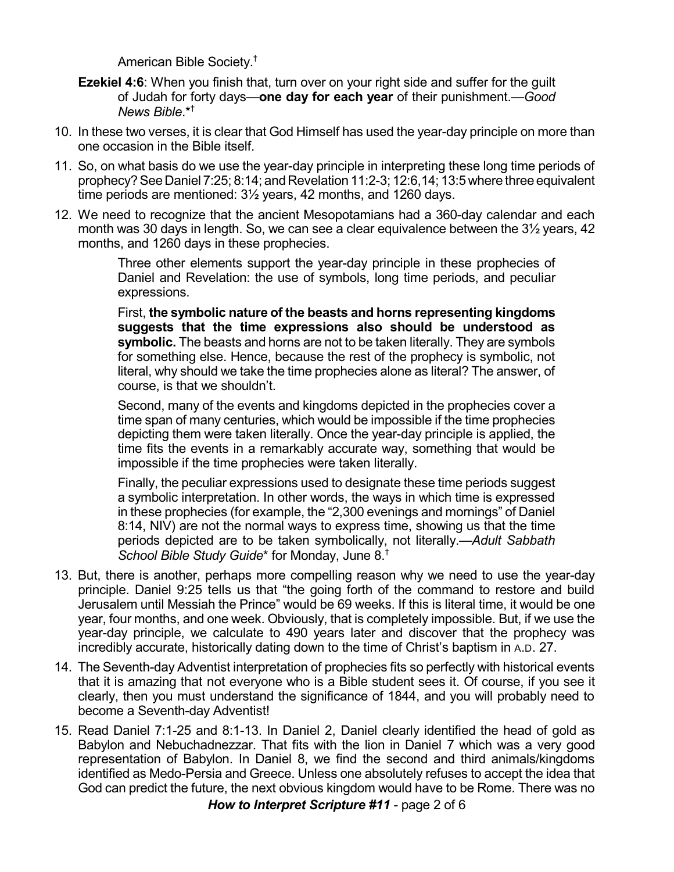American Bible Society. †

- **Ezekiel 4:6**: When you finish that, turn over on your right side and suffer for the guilt of Judah for forty days—**one day for each year** of their punishment.—*Good News Bible*.\* †
- 10. In these two verses, it is clear that God Himself has used the year-day principle on more than one occasion in the Bible itself.
- 11. So, on what basis do we use the year-day principle in interpreting these long time periods of prophecy? See Daniel 7:25; 8:14; and Revelation 11:2-3; 12:6,14; 13:5 where three equivalent time periods are mentioned: 3½ years, 42 months, and 1260 days.
- 12. We need to recognize that the ancient Mesopotamians had a 360-day calendar and each month was 30 days in length. So, we can see a clear equivalence between the 3½ years, 42 months, and 1260 days in these prophecies.

Three other elements support the year-day principle in these prophecies of Daniel and Revelation: the use of symbols, long time periods, and peculiar expressions.

First, **the symbolic nature of the beasts and horns representing kingdoms suggests that the time expressions also should be understood as symbolic.** The beasts and horns are not to be taken literally. They are symbols for something else. Hence, because the rest of the prophecy is symbolic, not literal, why should we take the time prophecies alone as literal? The answer, of course, is that we shouldn't.

Second, many of the events and kingdoms depicted in the prophecies cover a time span of many centuries, which would be impossible if the time prophecies depicting them were taken literally. Once the year-day principle is applied, the time fits the events in a remarkably accurate way, something that would be impossible if the time prophecies were taken literally.

Finally, the peculiar expressions used to designate these time periods suggest a symbolic interpretation. In other words, the ways in which time is expressed in these prophecies (for example, the "2,300 evenings and mornings" of Daniel 8:14, NIV) are not the normal ways to express time, showing us that the time periods depicted are to be taken symbolically, not literally.—*Adult Sabbath School Bible Study Guide*\* for Monday, June 8. †

- 13. But, there is another, perhaps more compelling reason why we need to use the year-day principle. Daniel 9:25 tells us that "the going forth of the command to restore and build Jerusalem until Messiah the Prince" would be 69 weeks. If this is literal time, it would be one year, four months, and one week. Obviously, that is completely impossible. But, if we use the year-day principle, we calculate to 490 years later and discover that the prophecy was incredibly accurate, historically dating down to the time of Christ's baptism in A.D. 27.
- 14. The Seventh-day Adventist interpretation of prophecies fits so perfectly with historical events that it is amazing that not everyone who is a Bible student sees it. Of course, if you see it clearly, then you must understand the significance of 1844, and you will probably need to become a Seventh-day Adventist!
- 15. Read Daniel 7:1-25 and 8:1-13. In Daniel 2, Daniel clearly identified the head of gold as Babylon and Nebuchadnezzar. That fits with the lion in Daniel 7 which was a very good representation of Babylon. In Daniel 8, we find the second and third animals/kingdoms identified as Medo-Persia and Greece. Unless one absolutely refuses to accept the idea that God can predict the future, the next obvious kingdom would have to be Rome. There was no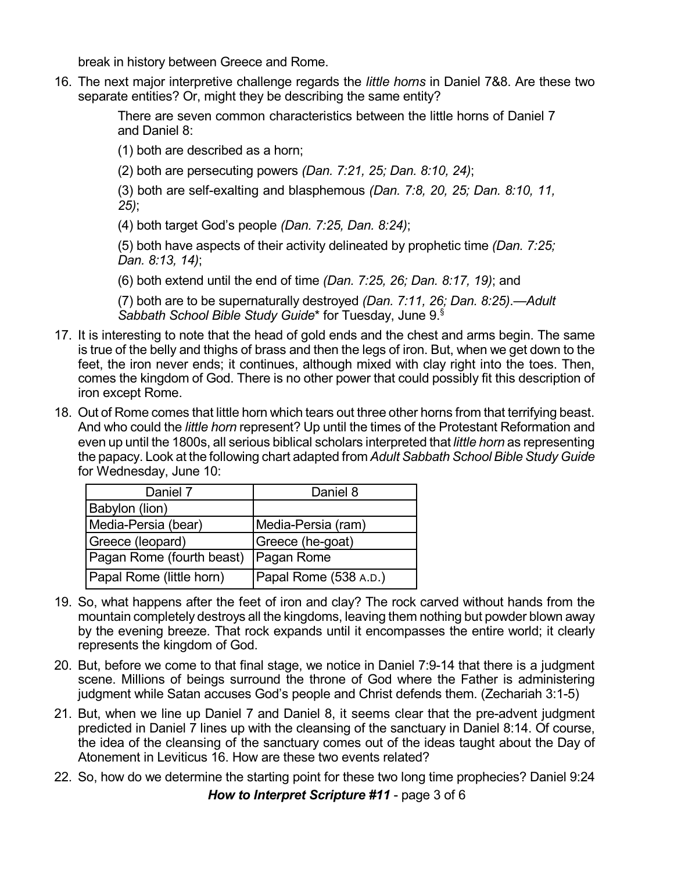break in history between Greece and Rome.

16. The next major interpretive challenge regards the *little horns* in Daniel 7&8. Are these two separate entities? Or, might they be describing the same entity?

> There are seven common characteristics between the little horns of Daniel 7 and Daniel 8:

(1) both are described as a horn;

(2) both are persecuting powers *(Dan. 7:21, 25; Dan. 8:10, 24)*;

(3) both are self-exalting and blasphemous *(Dan. 7:8, 20, 25; Dan. 8:10, 11, 25)*;

(4) both target God's people *(Dan. 7:25, Dan. 8:24)*;

(5) both have aspects of their activity delineated by prophetic time *(Dan. 7:25; Dan. 8:13, 14)*;

(6) both extend until the end of time *(Dan. 7:25, 26; Dan. 8:17, 19)*; and

(7) both are to be supernaturally destroyed *(Dan. 7:11, 26; Dan. 8:25)*.—*Adult Sabbath School Bible Study Guide*\* for Tuesday, June 9. §

- 17. It is interesting to note that the head of gold ends and the chest and arms begin. The same is true of the belly and thighs of brass and then the legs of iron. But, when we get down to the feet, the iron never ends; it continues, although mixed with clay right into the toes. Then, comes the kingdom of God. There is no other power that could possibly fit this description of iron except Rome.
- 18. Out of Rome comes that little horn which tears out three other horns from that terrifying beast. And who could the *little horn* represent? Up until the times of the Protestant Reformation and even up until the 1800s, all serious biblical scholars interpreted that *little horn* as representing the papacy. Look at the following chart adapted from *Adult Sabbath School Bible Study Guide* for Wednesday, June 10:

| Daniel 7                  | Daniel 8              |
|---------------------------|-----------------------|
| Babylon (lion)            |                       |
| Media-Persia (bear)       | Media-Persia (ram)    |
| Greece (leopard)          | Greece (he-goat)      |
| Pagan Rome (fourth beast) | Pagan Rome            |
| Papal Rome (little horn)  | Papal Rome (538 A.D.) |

- 19. So, what happens after the feet of iron and clay? The rock carved without hands from the mountain completely destroys all the kingdoms, leaving them nothing but powder blown away by the evening breeze. That rock expands until it encompasses the entire world; it clearly represents the kingdom of God.
- 20. But, before we come to that final stage, we notice in Daniel 7:9-14 that there is a judgment scene. Millions of beings surround the throne of God where the Father is administering judgment while Satan accuses God's people and Christ defends them. (Zechariah 3:1-5)
- 21. But, when we line up Daniel 7 and Daniel 8, it seems clear that the pre-advent judgment predicted in Daniel 7 lines up with the cleansing of the sanctuary in Daniel 8:14. Of course, the idea of the cleansing of the sanctuary comes out of the ideas taught about the Day of Atonement in Leviticus 16. How are these two events related?
- 22. So, how do we determine the starting point for these two long time prophecies? Daniel 9:24

*How to Interpret Scripture #11* - page 3 of 6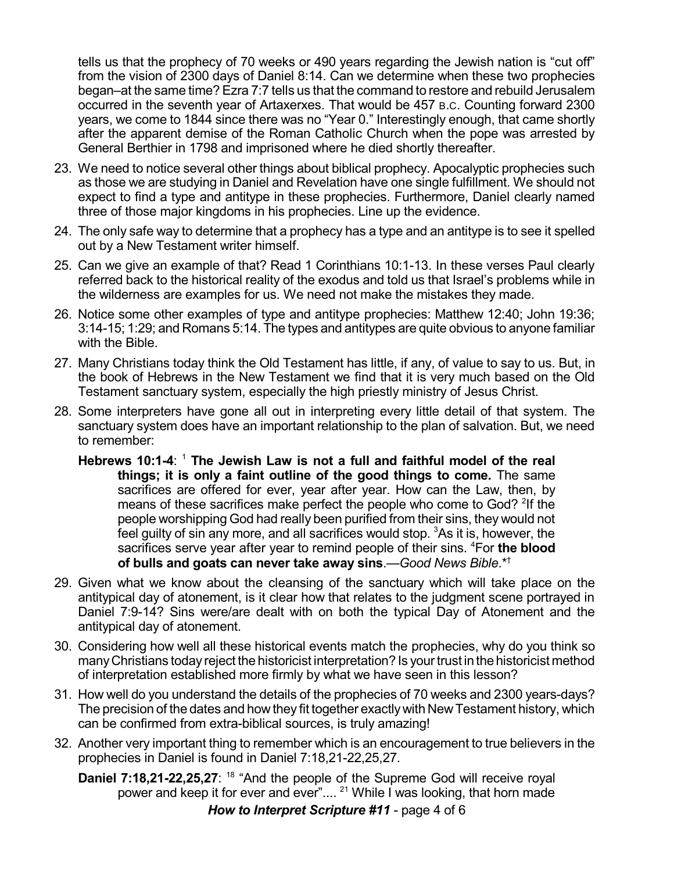tells us that the prophecy of 70 weeks or 490 years regarding the Jewish nation is "cut off" from the vision of 2300 days of Daniel 8:14. Can we determine when these two prophecies began–at the same time? Ezra 7:7 tells us that the command to restore and rebuild Jerusalem occurred in the seventh year of Artaxerxes. That would be 457 B.C. Counting forward 2300 years, we come to 1844 since there was no "Year 0." Interestingly enough, that came shortly after the apparent demise of the Roman Catholic Church when the pope was arrested by General Berthier in 1798 and imprisoned where he died shortly thereafter.

- 23. We need to notice several other things about biblical prophecy. Apocalyptic prophecies such as those we are studying in Daniel and Revelation have one single fulfillment. We should not expect to find a type and antitype in these prophecies. Furthermore, Daniel clearly named three of those major kingdoms in his prophecies. Line up the evidence.
- 24. The only safe way to determine that a prophecy has a type and an antitype is to see it spelled out by a New Testament writer himself.
- 25. Can we give an example of that? Read 1 Corinthians 10:1-13. In these verses Paul clearly referred back to the historical reality of the exodus and told us that Israel's problems while in the wilderness are examples for us. We need not make the mistakes they made.
- 26. Notice some other examples of type and antitype prophecies: Matthew 12:40; John 19:36; 3:14-15; 1:29; and Romans 5:14. The types and antitypes are quite obvious to anyone familiar with the Bible.
- 27. Many Christians today think the Old Testament has little, if any, of value to say to us. But, in the book of Hebrews in the New Testament we find that it is very much based on the Old Testament sanctuary system, especially the high priestly ministry of Jesus Christ.
- 28. Some interpreters have gone all out in interpreting every little detail of that system. The sanctuary system does have an important relationship to the plan of salvation. But, we need to remember:
	- **Hebrews 10:1-4**: <sup>1</sup> **The Jewish Law is not a full and faithful model of the real things; it is only a faint outline of the good things to come.** The same sacrifices are offered for ever, year after year. How can the Law, then, by means of these sacrifices make perfect the people who come to God? <sup>2</sup>If the people worshipping God had really been purified from their sins, they would not feel guilty of sin any more, and all sacrifices would stop. <sup>3</sup>As it is, however, the sacrifices serve year after year to remind people of their sins. <sup>4</sup>For **the blood of bulls and goats can never take away sins**.—*Good News Bible*.\* †
- 29. Given what we know about the cleansing of the sanctuary which will take place on the antitypical day of atonement, is it clear how that relates to the judgment scene portrayed in Daniel 7:9-14? Sins were/are dealt with on both the typical Day of Atonement and the antitypical day of atonement.
- 30. Considering how well all these historical events match the prophecies, why do you think so manyChristians today reject the historicist interpretation? Is yourtrust in the historicist method of interpretation established more firmly by what we have seen in this lesson?
- 31. How well do you understand the details of the prophecies of 70 weeks and 2300 years-days? The precision of the dates and how they fit together exactlywith NewTestament history, which can be confirmed from extra-biblical sources, is truly amazing!
- 32. Another very important thing to remember which is an encouragement to true believers in the prophecies in Daniel is found in Daniel 7:18,21-22,25,27.

**Daniel 7:18,21-22,25,27**: <sup>18</sup> "And the people of the Supreme God will receive royal power and keep it for ever and ever".... <sup>21</sup> While I was looking, that horn made

*How to Interpret Scripture #11* - page 4 of 6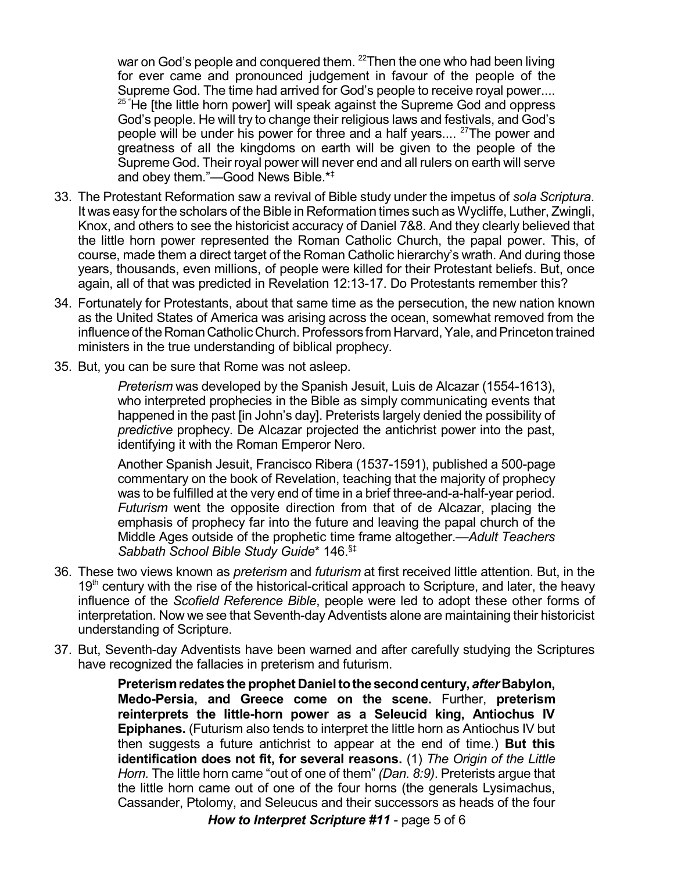war on God's people and conquered them. <sup>22</sup>Then the one who had been living for ever came and pronounced judgement in favour of the people of the Supreme God. The time had arrived for God's people to receive royal power....  $25$  He [the little horn power] will speak against the Supreme God and oppress God's people. He will try to change their religious laws and festivals, and God's people will be under his power for three and a half years.... <sup>27</sup>The power and greatness of all the kingdoms on earth will be given to the people of the Supreme God. Their royal power will never end and all rulers on earth will serve and obey them."—Good News Bible.\* ‡

- 33. The Protestant Reformation saw a revival of Bible study under the impetus of *sola Scriptura*. It was easy for the scholars of the Bible in Reformation times such as Wycliffe, Luther, Zwingli, Knox, and others to see the historicist accuracy of Daniel 7&8. And they clearly believed that the little horn power represented the Roman Catholic Church, the papal power. This, of course, made them a direct target of the Roman Catholic hierarchy's wrath. And during those years, thousands, even millions, of people were killed for their Protestant beliefs. But, once again, all of that was predicted in Revelation 12:13-17. Do Protestants remember this?
- 34. Fortunately for Protestants, about that same time as the persecution, the new nation known as the United States of America was arising across the ocean, somewhat removed from the influence of the Roman Catholic Church. Professors from Harvard, Yale, and Princeton trained ministers in the true understanding of biblical prophecy.
- 35. But, you can be sure that Rome was not asleep.

*Preterism* was developed by the Spanish Jesuit, Luis de Alcazar (1554-1613), who interpreted prophecies in the Bible as simply communicating events that happened in the past [in John's day]. Preterists largely denied the possibility of *predictive* prophecy. De Alcazar projected the antichrist power into the past, identifying it with the Roman Emperor Nero.

Another Spanish Jesuit, Francisco Ribera (1537-1591), published a 500-page commentary on the book of Revelation, teaching that the majority of prophecy was to be fulfilled at the very end of time in a brief three-and-a-half-year period. *Futurism* went the opposite direction from that of de Alcazar, placing the emphasis of prophecy far into the future and leaving the papal church of the Middle Ages outside of the prophetic time frame altogether.—*Adult Teachers Sabbath School Bible Study Guide*\* 146. §‡

- 36. These two views known as *preterism* and *futurism* at first received little attention. But, in the 19<sup>th</sup> century with the rise of the historical-critical approach to Scripture, and later, the heavy influence of the *Scofield Reference Bible*, people were led to adopt these other forms of interpretation. Now we see that Seventh-day Adventists alone are maintaining their historicist understanding of Scripture.
- 37. But, Seventh-day Adventists have been warned and after carefully studying the Scriptures have recognized the fallacies in preterism and futurism.

**Preterismredates the prophet Danieltothe secondcentury,** *after* **Babylon, Medo-Persia, and Greece come on the scene.** Further, **preterism reinterprets the little-horn power as a Seleucid king, Antiochus IV Epiphanes.** (Futurism also tends to interpret the little horn as Antiochus IV but then suggests a future antichrist to appear at the end of time.) **But this identification does not fit, for several reasons.** (1) *The Origin of the Little Horn.* The little horn came "out of one of them" *(Dan. 8:9)*. Preterists argue that the little horn came out of one of the four horns (the generals Lysimachus, Cassander, Ptolomy, and Seleucus and their successors as heads of the four